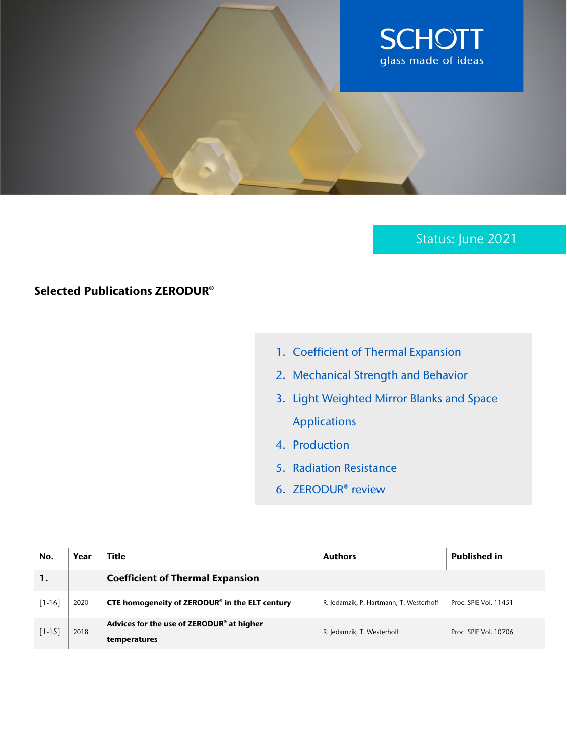

Status: June 2021

## Selected Publications ZERODUR®

- 1. Coefficient of Thermal Expansion
- 2. Mechanical Strength and Behavior
- 3. Light Weighted Mirror Blanks and Space Applications
- 4. Production
- 5. Radiation Resistance
- 6. ZERODUR® review

| No.        | Year | <b>Title</b>                                                          | <b>Authors</b>                          | <b>Published in</b>   |
|------------|------|-----------------------------------------------------------------------|-----------------------------------------|-----------------------|
|            |      | <b>Coefficient of Thermal Expansion</b>                               |                                         |                       |
| $[1 - 16]$ | 2020 | CTE homogeneity of ZERODUR® in the ELT century                        | R. Jedamzik, P. Hartmann, T. Westerhoff | Proc. SPIE Vol. 11451 |
| $[1 - 15]$ | 2018 | Advices for the use of ZERODUR <sup>®</sup> at higher<br>temperatures | R. Jedamzik, T. Westerhoff              | Proc. SPIE Vol. 10706 |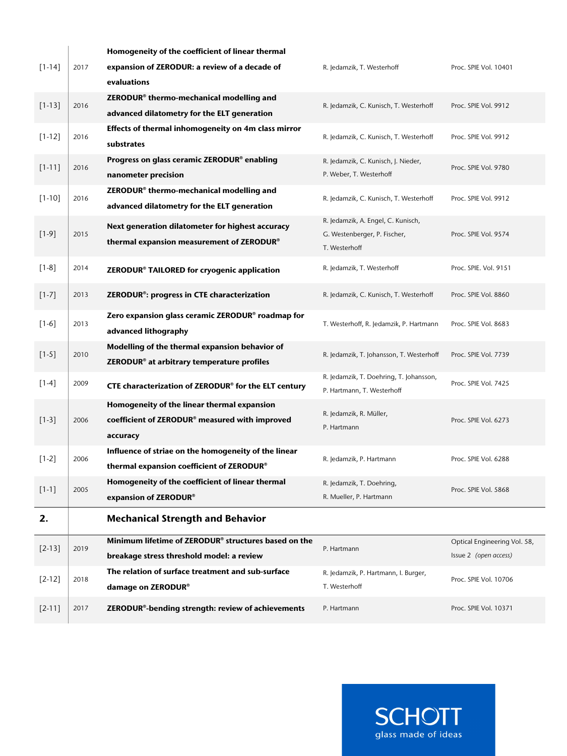|            |      | Homogeneity of the coefficient of linear thermal                 |                                                                       |                              |
|------------|------|------------------------------------------------------------------|-----------------------------------------------------------------------|------------------------------|
| $[1 - 14]$ | 2017 | expansion of ZERODUR: a review of a decade of                    | R. Jedamzik, T. Westerhoff                                            | Proc. SPIE Vol. 10401        |
|            |      | evaluations                                                      |                                                                       |                              |
| $[1 - 13]$ | 2016 | ZERODUR <sup>®</sup> thermo-mechanical modelling and             | R. Jedamzik, C. Kunisch, T. Westerhoff                                | Proc. SPIE Vol. 9912         |
|            |      | advanced dilatometry for the ELT generation                      |                                                                       |                              |
| $[1 - 12]$ | 2016 | Effects of thermal inhomogeneity on 4m class mirror              |                                                                       |                              |
|            |      | substrates                                                       | R. Jedamzik, C. Kunisch, T. Westerhoff                                | Proc. SPIE Vol. 9912         |
| $[1 - 11]$ | 2016 | Progress on glass ceramic ZERODUR® enabling                      | R. Jedamzik, C. Kunisch, J. Nieder,                                   | Proc. SPIE Vol. 9780         |
|            |      | nanometer precision                                              | P. Weber, T. Westerhoff                                               |                              |
| $[1 - 10]$ | 2016 | ZERODUR <sup>®</sup> thermo-mechanical modelling and             | R. Jedamzik, C. Kunisch, T. Westerhoff                                | Proc. SPIE Vol. 9912         |
|            |      | advanced dilatometry for the ELT generation                      |                                                                       |                              |
|            |      | Next generation dilatometer for highest accuracy                 | R. Jedamzik, A. Engel, C. Kunisch,                                    |                              |
| $[1-9]$    | 2015 | thermal expansion measurement of ZERODUR®                        | G. Westenberger, P. Fischer,                                          | Proc. SPIE Vol. 9574         |
|            |      |                                                                  | T. Westerhoff                                                         |                              |
| $[1-8]$    | 2014 | ZERODUR® TAILORED for cryogenic application                      | R. Jedamzik, T. Westerhoff                                            | Proc. SPIE. Vol. 9151        |
| $[1-7]$    | 2013 | ZERODUR <sup>®</sup> : progress in CTE characterization          | R. Jedamzik, C. Kunisch, T. Westerhoff                                | Proc. SPIE Vol. 8860         |
|            |      |                                                                  |                                                                       |                              |
| $[1-6]$    | 2013 | Zero expansion glass ceramic ZERODUR <sup>®</sup> roadmap for    | T. Westerhoff, R. Jedamzik, P. Hartmann                               | Proc. SPIE Vol. 8683         |
|            |      | advanced lithography                                             |                                                                       |                              |
| $[1-5]$    | 2010 | Modelling of the thermal expansion behavior of                   | R. Jedamzik, T. Johansson, T. Westerhoff                              | Proc. SPIE Vol. 7739         |
|            |      | ZERODUR <sup>®</sup> at arbitrary temperature profiles           |                                                                       |                              |
| $[1-4]$    | 2009 | CTE characterization of ZERODUR <sup>®</sup> for the ELT century | R. Jedamzik, T. Doehring, T. Johansson,<br>P. Hartmann, T. Westerhoff | Proc. SPIE Vol. 7425         |
|            |      | Homogeneity of the linear thermal expansion                      |                                                                       |                              |
| $[1-3]$    | 2006 | coefficient of ZERODUR <sup>®</sup> measured with improved       | R. Jedamzik, R. Müller,                                               | Proc. SPIE Vol. 6273         |
|            |      | accuracy                                                         | P. Hartmann                                                           |                              |
|            |      | Influence of striae on the homogeneity of the linear             |                                                                       |                              |
| $[1-2]$    | 2006 | thermal expansion coefficient of ZERODUR®                        | R. Jedamzik, P. Hartmann                                              | Proc. SPIE Vol. 6288         |
|            |      | Homogeneity of the coefficient of linear thermal                 | R. Jedamzik, T. Doehring,                                             |                              |
| $[1 - 1]$  | 2005 | expansion of ZERODUR®                                            | R. Mueller, P. Hartmann                                               | Proc. SPIE Vol. 5868         |
| 2.         |      | <b>Mechanical Strength and Behavior</b>                          |                                                                       |                              |
|            |      | Minimum lifetime of ZERODUR® structures based on the             |                                                                       | Optical Engineering Vol. 58, |
| $[2 - 13]$ | 2019 | breakage stress threshold model: a review                        | P. Hartmann                                                           | Issue 2 (open access)        |
|            |      | The relation of surface treatment and sub-surface                | R. Jedamzik, P. Hartmann, I. Burger,                                  |                              |
| $[2-12]$   | 2018 | damage on ZERODUR®                                               | T. Westerhoff                                                         | Proc. SPIE Vol. 10706        |
| $[2-11]$   | 2017 | ZERODUR <sup>®</sup> -bending strength: review of achievements   | P. Hartmann                                                           | Proc. SPIE Vol. 10371        |

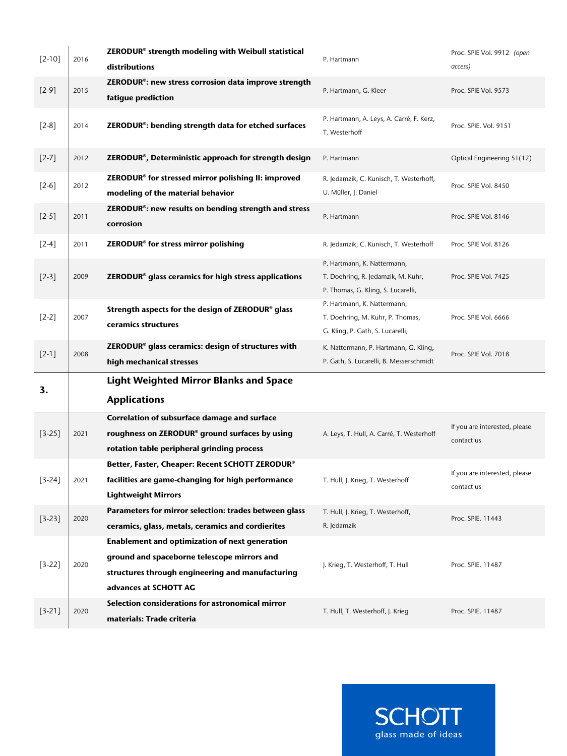| $[2 - 10]$          | 2016 | ZERODUR <sup>®</sup> strength modeling with Weibull statistical<br>distributions                                                                                           | P. Hartmann                                                                                             | Proc. SPIE Vol. 9912 (open<br>access)       |
|---------------------|------|----------------------------------------------------------------------------------------------------------------------------------------------------------------------------|---------------------------------------------------------------------------------------------------------|---------------------------------------------|
| $[2-9]$             | 2015 | ZERODUR <sup>®</sup> : new stress corrosion data improve strength<br>fatigue prediction                                                                                    | P. Hartmann, G. Kleer                                                                                   | Proc. SPIE Vol. 9573                        |
| $[2-8]$             | 2014 | ZERODUR <sup>®</sup> : bending strength data for etched surfaces                                                                                                           | P. Hartmann, A. Leys, A. Carré, F. Kerz,<br>T. Westerhoff                                               | Proc. SPIE. Vol. 9151                       |
| $[2-7]$             | 2012 | ZERODUR®, Deterministic approach for strength design                                                                                                                       | P. Hartmann                                                                                             | Optical Engineering 51(12)                  |
| $[2-6]$             | 2012 | ZERODUR® for stressed mirror polishing II: improved<br>modeling of the material behavior                                                                                   | R. Jedamzik, C. Kunisch, T. Westerhoff,<br>U. Müller, J. Daniel                                         | Proc. SPIE Vol. 8450                        |
| $[2-5]$             | 2011 | ZERODUR <sup>®</sup> : new results on bending strength and stress<br>corrosion                                                                                             | P. Hartmann                                                                                             | Proc. SPIE Vol. 8146                        |
| $\lceil 2-4 \rceil$ | 2011 | ZERODUR <sup>®</sup> for stress mirror polishing                                                                                                                           | R. Jedamzik, C. Kunisch, T. Westerhoff                                                                  | Proc. SPIE Vol. 8126                        |
| $[2-3]$             | 2009 | ZERODUR <sup>®</sup> glass ceramics for high stress applications                                                                                                           | P. Hartmann, K. Nattermann,<br>T. Doehring, R. Jedamzik, M. Kuhr,<br>P. Thomas, G. Kling, S. Lucarelli, | Proc. SPIE Vol. 7425                        |
| $[2-2]$             | 2007 | Strength aspects for the design of ZERODUR® glass<br>ceramics structures                                                                                                   | P. Hartmann, K. Nattermann,<br>T. Doehring, M. Kuhr, P. Thomas,<br>G. Kling, P. Gath, S. Lucarelli,     | Proc. SPIE Vol. 6666                        |
|                     |      |                                                                                                                                                                            |                                                                                                         |                                             |
| $[2-1]$             | 2008 | ZERODUR <sup>®</sup> glass ceramics: design of structures with<br>high mechanical stresses                                                                                 | K. Nattermann, P. Hartmann, G. Kling,<br>P. Gath, S. Lucarelli, B. Messerschmidt                        | Proc. SPIE Vol. 7018                        |
| 3.                  |      | <b>Light Weighted Mirror Blanks and Space</b><br><b>Applications</b>                                                                                                       |                                                                                                         |                                             |
| $[3-25]$            | 2021 | Correlation of subsurface damage and surface<br>roughness on ZERODUR® ground surfaces by using<br>rotation table peripheral grinding process                               | A. Leys, T. Hull, A. Carré, T. Westerhoff                                                               | If you are interested, please<br>contact us |
| $[3-24]$            | 2021 | Better, Faster, Cheaper: Recent SCHOTT ZERODUR®<br>facilities are game-changing for high performance<br><b>Lightweight Mirrors</b>                                         | T. Hull, J. Krieg, T. Westerhoff                                                                        | If you are interested, please<br>contact us |
| $[3-23]$            | 2020 | Parameters for mirror selection: trades between glass<br>ceramics, glass, metals, ceramics and cordierites                                                                 | T. Hull, J. Krieg, T. Westerhoff,<br>R. Jedamzik                                                        | Proc. SPIE. 11443                           |
| $[3-22]$            | 2020 | Enablement and optimization of next generation<br>ground and spaceborne telescope mirrors and<br>structures through engineering and manufacturing<br>advances at SCHOTT AG | J. Krieg, T. Westerhoff, T. Hull                                                                        | Proc. SPIE. 11487                           |

**SCHOTT** glass made of ideas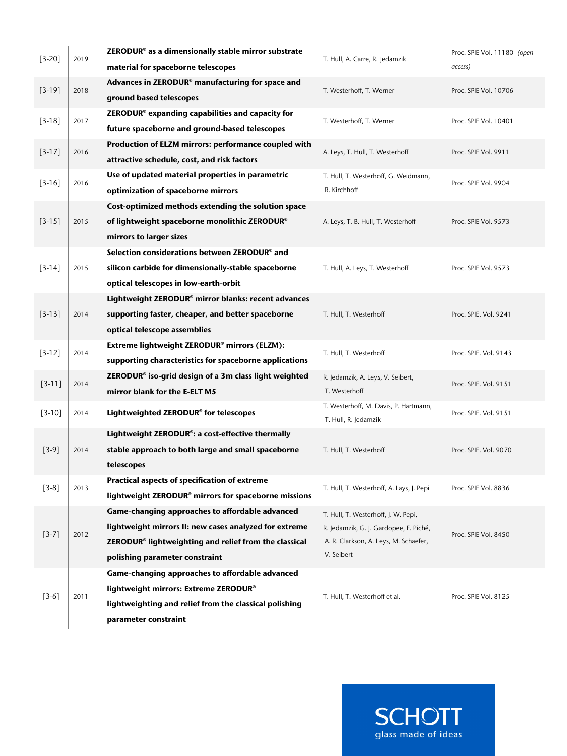| $[3-20]$   | 2019 | ZERODUR <sup>®</sup> as a dimensionally stable mirror substrate<br>material for spaceborne telescopes                                                                                                            | T. Hull, A. Carre, R. Jedamzik                                                                                                       | Proc. SPIE Vol. 11180 (open<br>access) |
|------------|------|------------------------------------------------------------------------------------------------------------------------------------------------------------------------------------------------------------------|--------------------------------------------------------------------------------------------------------------------------------------|----------------------------------------|
| $[3-19]$   | 2018 | Advances in ZERODUR <sup>®</sup> manufacturing for space and<br>ground based telescopes                                                                                                                          | T. Westerhoff, T. Werner                                                                                                             | Proc. SPIE Vol. 10706                  |
| $[3-18]$   | 2017 | ZERODUR <sup>®</sup> expanding capabilities and capacity for<br>future spaceborne and ground-based telescopes                                                                                                    | T. Westerhoff, T. Werner                                                                                                             | Proc. SPIE Vol. 10401                  |
| $[3-17]$   | 2016 | Production of ELZM mirrors: performance coupled with<br>attractive schedule, cost, and risk factors                                                                                                              | A. Leys, T. Hull, T. Westerhoff                                                                                                      | Proc. SPIE Vol. 9911                   |
| $[3-16]$   | 2016 | Use of updated material properties in parametric<br>optimization of spaceborne mirrors                                                                                                                           | T. Hull, T. Westerhoff, G. Weidmann,<br>R. Kirchhoff                                                                                 | Proc. SPIE Vol. 9904                   |
| $[3-15]$   | 2015 | Cost-optimized methods extending the solution space<br>of lightweight spaceborne monolithic ZERODUR®<br>mirrors to larger sizes                                                                                  | A. Leys, T. B. Hull, T. Westerhoff                                                                                                   | Proc. SPIE Vol. 9573                   |
| $[3-14]$   | 2015 | Selection considerations between ZERODUR® and<br>silicon carbide for dimensionally-stable spaceborne<br>optical telescopes in low-earth-orbit                                                                    | T. Hull, A. Leys, T. Westerhoff                                                                                                      | Proc. SPIE Vol. 9573                   |
| $[3-13]$   | 2014 | Lightweight ZERODUR® mirror blanks: recent advances<br>supporting faster, cheaper, and better spaceborne<br>optical telescope assemblies                                                                         | T. Hull, T. Westerhoff                                                                                                               | Proc. SPIE. Vol. 9241                  |
| $[3-12]$   | 2014 | Extreme lightweight ZERODUR® mirrors (ELZM):<br>supporting characteristics for spaceborne applications                                                                                                           | T. Hull, T. Westerhoff                                                                                                               | Proc. SPIE. Vol. 9143                  |
| $[3 - 11]$ | 2014 | ZERODUR <sup>®</sup> iso-grid design of a 3m class light weighted<br>mirror blank for the E-ELT M5                                                                                                               | R. Jedamzik, A. Leys, V. Seibert,<br>T. Westerhoff                                                                                   | Proc. SPIE. Vol. 9151                  |
| $[3-10]$   | 2014 | Lightweighted ZERODUR® for telescopes                                                                                                                                                                            | T. Westerhoff, M. Davis, P. Hartmann,<br>T. Hull, R. Jedamzik                                                                        | Proc. SPIE. Vol. 9151                  |
| $[3-9]$    | 2014 | Lightweight ZERODUR®: a cost-effective thermally<br>stable approach to both large and small spaceborne<br>telescopes                                                                                             | T. Hull, T. Westerhoff                                                                                                               | Proc. SPIE. Vol. 9070                  |
| $[3-8]$    | 2013 | Practical aspects of specification of extreme<br>lightweight ZERODUR® mirrors for spaceborne missions                                                                                                            | T. Hull, T. Westerhoff, A. Lays, J. Pepi                                                                                             | Proc. SPIE Vol. 8836                   |
| $[3-7]$    | 2012 | Game-changing approaches to affordable advanced<br>lightweight mirrors II: new cases analyzed for extreme<br>ZERODUR <sup>®</sup> lightweighting and relief from the classical<br>polishing parameter constraint | T. Hull, T. Westerhoff, J. W. Pepi,<br>R. Jedamzik, G. J. Gardopee, F. Piché,<br>A. R. Clarkson, A. Leys, M. Schaefer,<br>V. Seibert | Proc. SPIE Vol. 8450                   |
| $[3-6]$    | 2011 | Game-changing approaches to affordable advanced<br>lightweight mirrors: Extreme ZERODUR®<br>lightweighting and relief from the classical polishing<br>parameter constraint                                       | T. Hull, T. Westerhoff et al.                                                                                                        | Proc. SPIE Vol. 8125                   |

**SCHOTT**<br>glass made of ideas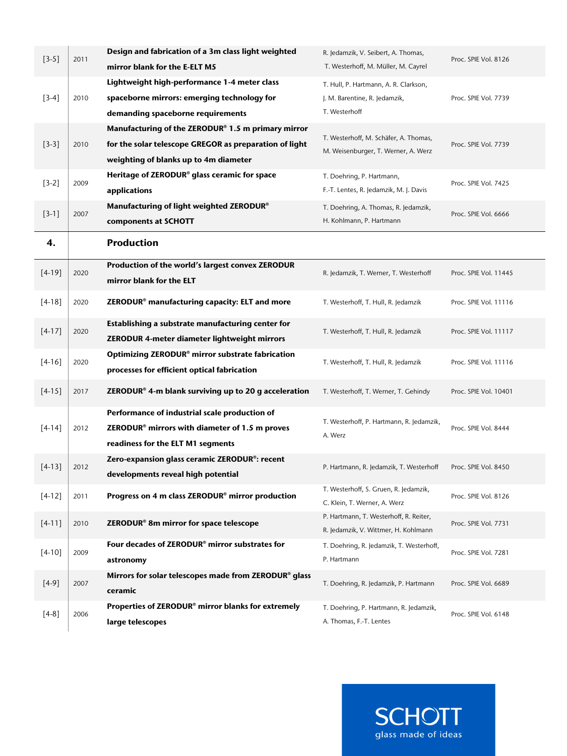| $[3-5]$    | 2011 | Design and fabrication of a 3m class light weighted<br>mirror blank for the E-ELT M5                                                                  | R. Jedamzik, V. Seibert, A. Thomas,<br>T. Westerhoff, M. Müller, M. Cayrel              | Proc. SPIE Vol. 8126  |
|------------|------|-------------------------------------------------------------------------------------------------------------------------------------------------------|-----------------------------------------------------------------------------------------|-----------------------|
| $[3-4]$    | 2010 | Lightweight high-performance 1-4 meter class<br>spaceborne mirrors: emerging technology for<br>demanding spaceborne requirements                      | T. Hull, P. Hartmann, A. R. Clarkson,<br>J. M. Barentine, R. Jedamzik,<br>T. Westerhoff | Proc. SPIE Vol. 7739  |
| $[3-3]$    | 2010 | Manufacturing of the ZERODUR® 1.5 m primary mirror<br>for the solar telescope GREGOR as preparation of light<br>weighting of blanks up to 4m diameter | T. Westerhoff, M. Schäfer, A. Thomas,<br>M. Weisenburger, T. Werner, A. Werz            | Proc. SPIE Vol. 7739  |
| $[3-2]$    | 2009 | Heritage of ZERODUR <sup>®</sup> glass ceramic for space<br>applications                                                                              | T. Doehring, P. Hartmann,<br>F.-T. Lentes, R. Jedamzik, M. J. Davis                     | Proc. SPIE Vol. 7425  |
| $[3-1]$    | 2007 | Manufacturing of light weighted ZERODUR®<br>components at SCHOTT                                                                                      | T. Doehring, A. Thomas, R. Jedamzik,<br>H. Kohlmann, P. Hartmann                        | Proc. SPIE Vol. 6666  |
| 4.         |      | <b>Production</b>                                                                                                                                     |                                                                                         |                       |
| $[4-19]$   | 2020 | Production of the world's largest convex ZERODUR<br>mirror blank for the ELT                                                                          | R. Jedamzik, T. Werner, T. Westerhoff                                                   | Proc. SPIE Vol. 11445 |
| $[4-18]$   | 2020 | ZERODUR <sup>®</sup> manufacturing capacity: ELT and more                                                                                             | T. Westerhoff, T. Hull, R. Jedamzik                                                     | Proc. SPIE Vol. 11116 |
| $[4-17]$   | 2020 | Establishing a substrate manufacturing center for<br>ZERODUR 4-meter diameter lightweight mirrors                                                     | T. Westerhoff, T. Hull, R. Jedamzik                                                     | Proc. SPIE Vol. 11117 |
| $[4-16]$   | 2020 | Optimizing ZERODUR <sup>®</sup> mirror substrate fabrication<br>processes for efficient optical fabrication                                           | T. Westerhoff, T. Hull, R. Jedamzik                                                     | Proc. SPIE Vol. 11116 |
| $[4-15]$   | 2017 | ZERODUR <sup>®</sup> 4-m blank surviving up to 20 g acceleration                                                                                      | T. Westerhoff, T. Werner, T. Gehindy                                                    | Proc. SPIE Vol. 10401 |
| $[4 - 14]$ | 2012 | Performance of industrial scale production of<br>ZERODUR <sup>®</sup> mirrors with diameter of 1.5 m proves<br>readiness for the ELT M1 segments      | T. Westerhoff, P. Hartmann, R. Jedamzik,<br>A. Werz                                     | Proc. SPIE Vol. 8444  |
| $[4-13]$   | 2012 | Zero-expansion glass ceramic ZERODUR <sup>®</sup> : recent<br>developments reveal high potential                                                      | P. Hartmann, R. Jedamzik, T. Westerhoff                                                 | Proc. SPIE Vol. 8450  |
| $[4-12]$   | 2011 | Progress on 4 m class ZERODUR <sup>®</sup> mirror production                                                                                          | T. Westerhoff, S. Gruen, R. Jedamzik,<br>C. Klein, T. Werner, A. Werz                   | Proc. SPIE Vol. 8126  |
| $[4-11]$   | 2010 | ZERODUR <sup>®</sup> 8m mirror for space telescope                                                                                                    | P. Hartmann, T. Westerhoff, R. Reiter,<br>R. Jedamzik, V. Wittmer, H. Kohlmann          | Proc. SPIE Vol. 7731  |
| $[4-10]$   | 2009 | Four decades of ZERODUR <sup>®</sup> mirror substrates for<br>astronomy                                                                               | T. Doehring, R. Jedamzik, T. Westerhoff,<br>P. Hartmann                                 | Proc. SPIE Vol. 7281  |
| $[4-9]$    | 2007 | Mirrors for solar telescopes made from ZERODUR® glass<br>ceramic                                                                                      | T. Doehring, R. Jedamzik, P. Hartmann                                                   | Proc. SPIE Vol. 6689  |
| $[4-8]$    | 2006 | Properties of ZERODUR <sup>®</sup> mirror blanks for extremely<br>large telescopes                                                                    | T. Doehring, P. Hartmann, R. Jedamzik,<br>A. Thomas, F.-T. Lentes                       | Proc. SPIE Vol. 6148  |

**SCHOTT**<br>glass made of ideas